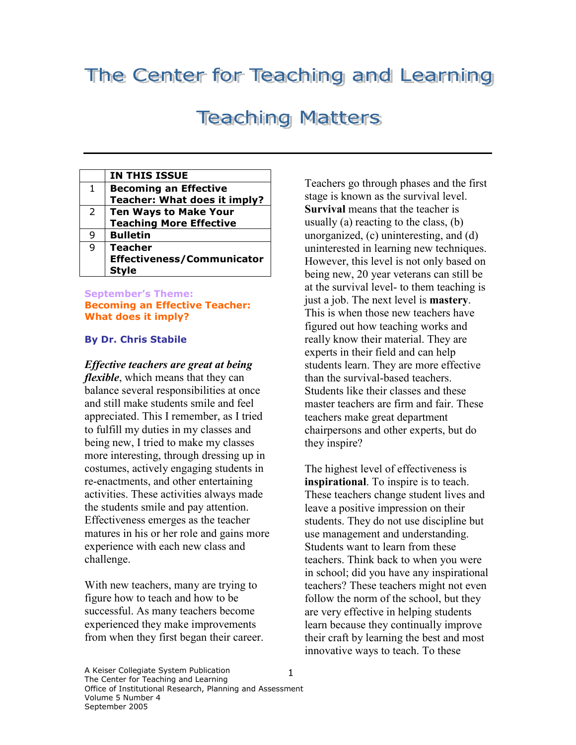## The Center for Teaching and Learning

## **Teaching Matters**

|                | <b>IN THIS ISSUE</b>              |
|----------------|-----------------------------------|
| 1              | <b>Becoming an Effective</b>      |
|                | Teacher: What does it imply?      |
| $\overline{2}$ | <b>Ten Ways to Make Your</b>      |
|                | <b>Teaching More Effective</b>    |
| 9              | <b>Bulletin</b>                   |
| 9              | <b>Teacher</b>                    |
|                | <b>Effectiveness/Communicator</b> |
|                | Stvle                             |

#### September's Theme: Becoming an Effective Teacher: What does it imply?

#### By Dr. Chris Stabile

Effective teachers are great at being flexible, which means that they can balance several responsibilities at once and still make students smile and feel appreciated. This I remember, as I tried to fulfill my duties in my classes and being new, I tried to make my classes more interesting, through dressing up in costumes, actively engaging students in re-enactments, and other entertaining activities. These activities always made the students smile and pay attention. Effectiveness emerges as the teacher matures in his or her role and gains more experience with each new class and challenge.

With new teachers, many are trying to figure how to teach and how to be successful. As many teachers become experienced they make improvements from when they first began their career. Teachers go through phases and the first stage is known as the survival level. Survival means that the teacher is usually (a) reacting to the class, (b) unorganized, (c) uninteresting, and (d) uninterested in learning new techniques. However, this level is not only based on being new, 20 year veterans can still be at the survival level- to them teaching is just a job. The next level is mastery. This is when those new teachers have figured out how teaching works and really know their material. They are experts in their field and can help students learn. They are more effective than the survival-based teachers. Students like their classes and these master teachers are firm and fair. These teachers make great department chairpersons and other experts, but do they inspire?

The highest level of effectiveness is inspirational. To inspire is to teach. These teachers change student lives and leave a positive impression on their students. They do not use discipline but use management and understanding. Students want to learn from these teachers. Think back to when you were in school; did you have any inspirational teachers? These teachers might not even follow the norm of the school, but they are very effective in helping students learn because they continually improve their craft by learning the best and most innovative ways to teach. To these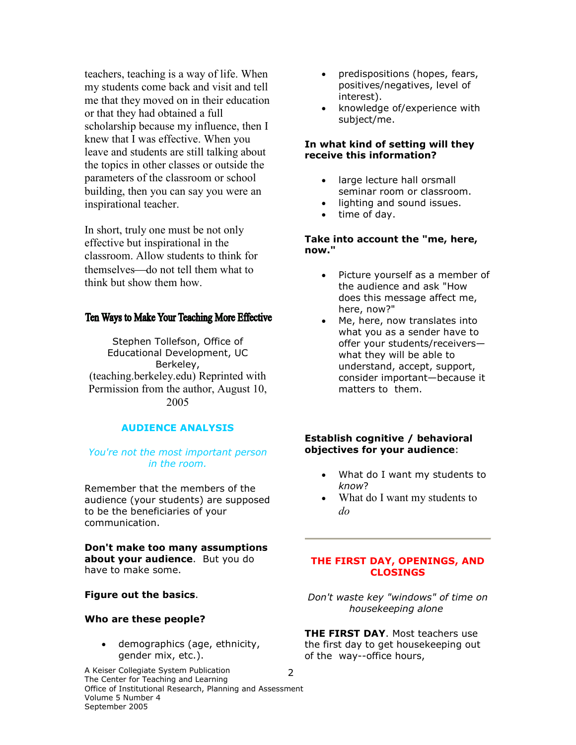teachers, teaching is a way of life. When my students come back and visit and tell me that they moved on in their education or that they had obtained a full scholarship because my influence, then I knew that I was effective. When you leave and students are still talking about the topics in other classes or outside the parameters of the classroom or school building, then you can say you were an inspirational teacher.

In short, truly one must be not only effective but inspirational in the classroom. Allow students to think for themselves—do not tell them what to think but show them how.

#### Ten Ways to Make Your Teaching More Effective

Stephen Tollefson, Office of Educational Development, UC Berkeley, (teaching.berkeley.edu) Reprinted with Permission from the author, August 10, 2005

#### AUDIENCE ANALYSIS

#### You're not the most important person in the room.

Remember that the members of the audience (your students) are supposed to be the beneficiaries of your communication.

Don't make too many assumptions about your audience. But you do have to make some.

#### Figure out the basics.

#### Who are these people?

demographics (age, ethnicity, gender mix, etc.).

A Keiser Collegiate System Publication The Center for Teaching and Learning Office of Institutional Research, Planning and Assessment Volume 5 Number 4 September 2005 2

- predispositions (hopes, fears, positives/negatives, level of interest).
- knowledge of/experience with subject/me.

#### In what kind of setting will they receive this information?

- large lecture hall orsmall seminar room or classroom.
- lighting and sound issues.
- time of day.

#### Take into account the "me, here, now."

- Picture yourself as a member of the audience and ask "How does this message affect me, here, now?"
- Me, here, now translates into what you as a sender have to offer your students/receivers what they will be able to understand, accept, support, consider important—because it matters to them.

#### Establish cognitive / behavioral objectives for your audience:

- What do I want my students to know?
- What do I want my students to do

#### THE FIRST DAY, OPENINGS, AND CLOSINGS

Don't waste key "windows" of time on housekeeping alone

THE FIRST DAY. Most teachers use the first day to get housekeeping out of the way--office hours,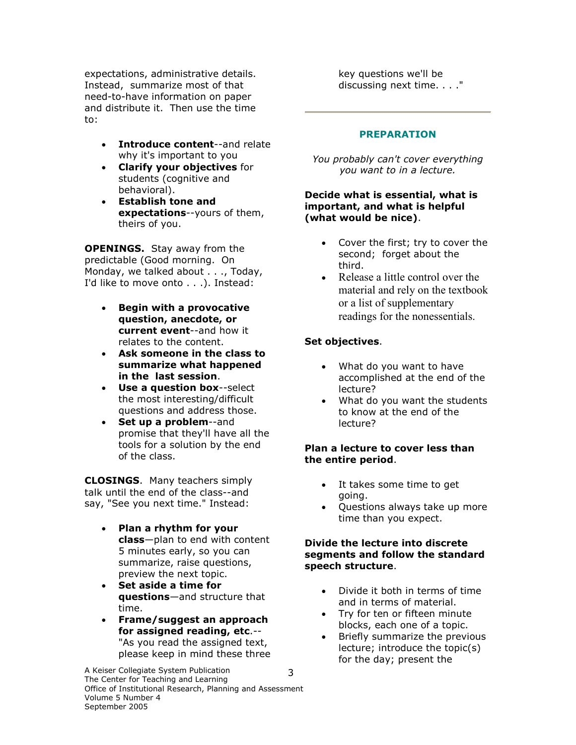expectations, administrative details. Instead, summarize most of that need-to-have information on paper and distribute it. Then use the time to:

- Introduce content--and relate why it's important to you
- Clarify your objectives for students (cognitive and behavioral).
- Establish tone and expectations--yours of them, theirs of you.

**OPENINGS.** Stay away from the predictable (Good morning. On Monday, we talked about . . ., Today, I'd like to move onto . . .). Instead:

- Begin with a provocative question, anecdote, or current event--and how it relates to the content.
- Ask someone in the class to summarize what happened in the last session.
- Use a question box--select the most interesting/difficult questions and address those.
- Set up a problem--and promise that they'll have all the tools for a solution by the end of the class.

**CLOSINGS.** Many teachers simply talk until the end of the class--and say, "See you next time." Instead:

- Plan a rhythm for your class—plan to end with content 5 minutes early, so you can summarize, raise questions, preview the next topic.
- Set aside a time for questions—and structure that time.
- Frame/suggest an approach for assigned reading, etc.-- "As you read the assigned text, please keep in mind these three

A Keiser Collegiate System Publication The Center for Teaching and Learning Office of Institutional Research, Planning and Assessment Volume 5 Number 4 September 2005 3

key questions we'll be discussing next time. . . ."

#### PREPARATION

You probably can't cover everything you want to in a lecture.

#### Decide what is essential, what is important, and what is helpful (what would be nice).

- Cover the first; try to cover the second; forget about the third.
- Release a little control over the material and rely on the textbook or a list of supplementary readings for the nonessentials.

#### Set objectives.

- What do you want to have accomplished at the end of the lecture?
- What do you want the students to know at the end of the lecture?

#### Plan a lecture to cover less than the entire period.

- It takes some time to get going.
- Questions always take up more time than you expect.

#### Divide the lecture into discrete segments and follow the standard speech structure.

- Divide it both in terms of time and in terms of material.
- Try for ten or fifteen minute blocks, each one of a topic.
- Briefly summarize the previous lecture; introduce the topic(s) for the day; present the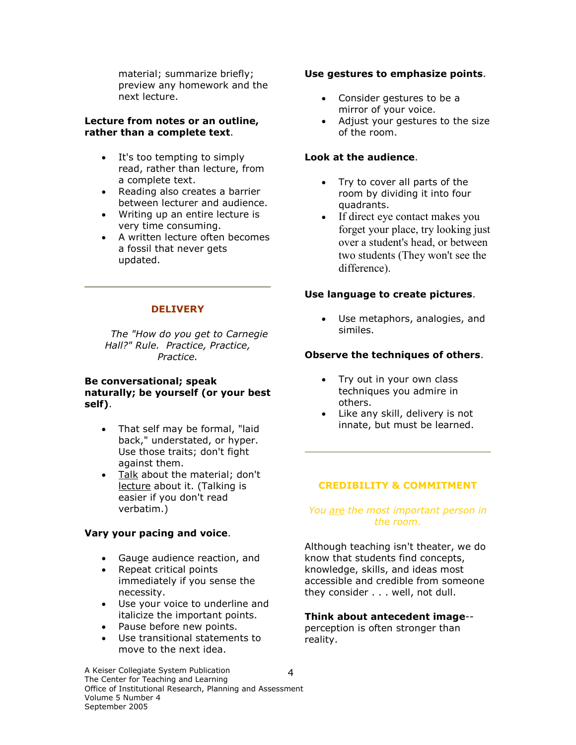material; summarize briefly; preview any homework and the next lecture.

#### Lecture from notes or an outline, rather than a complete text.

- It's too tempting to simply read, rather than lecture, from a complete text.
- Reading also creates a barrier between lecturer and audience.
- Writing up an entire lecture is very time consuming.
- A written lecture often becomes a fossil that never gets updated.

#### **DELIVERY**

 The "How do you get to Carnegie Hall?" Rule. Practice, Practice, Practice.

#### Be conversational; speak naturally; be yourself (or your best self).

- That self may be formal, "laid back," understated, or hyper. Use those traits; don't fight against them.
- Talk about the material; don't lecture about it. (Talking is easier if you don't read verbatim.)

#### Vary your pacing and voice.

- Gauge audience reaction, and
- Repeat critical points
- immediately if you sense the necessity.
- Use your voice to underline and italicize the important points.
- Pause before new points.
- Use transitional statements to move to the next idea.

#### Use gestures to emphasize points.

- Consider gestures to be a mirror of your voice.
- Adjust your gestures to the size of the room.

#### Look at the audience.

- Try to cover all parts of the room by dividing it into four quadrants.
- If direct eye contact makes you forget your place, try looking just over a student's head, or between two students (They won't see the difference).

#### Use language to create pictures.

• Use metaphors, analogies, and similes.

#### Observe the techniques of others.

- Try out in your own class techniques you admire in others.
- Like any skill, delivery is not innate, but must be learned.

#### CREDIBILITY & COMMITMENT

#### You are the most important person in the room.

Although teaching isn't theater, we do know that students find concepts, knowledge, skills, and ideas most accessible and credible from someone they consider . . . well, not dull.

## Think about antecedent image--

perception is often stronger than reality.

A Keiser Collegiate System Publication The Center for Teaching and Learning Office of Institutional Research, Planning and Assessment Volume 5 Number 4 September 2005 4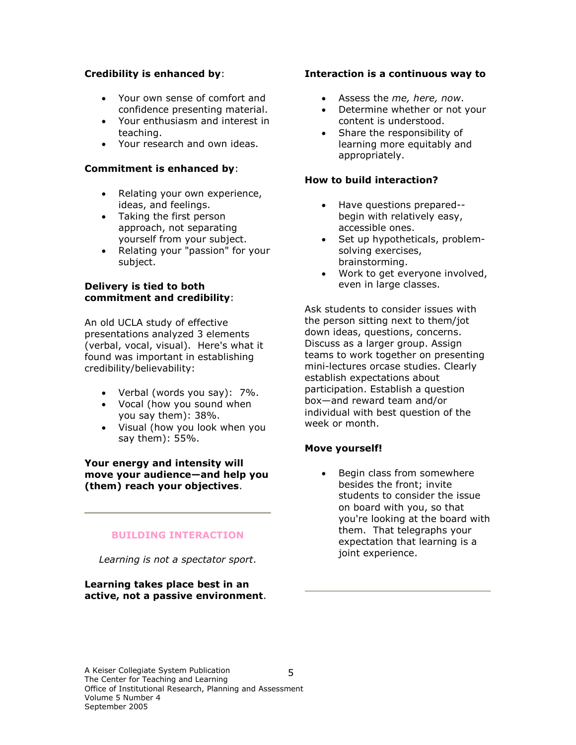#### Credibility is enhanced by:

- Your own sense of comfort and confidence presenting material.
- Your enthusiasm and interest in teaching.
- Your research and own ideas.

#### Commitment is enhanced by:

- Relating your own experience, ideas, and feelings.
- Taking the first person approach, not separating yourself from your subject.
- Relating your "passion" for your subject.

#### Delivery is tied to both commitment and credibility:

An old UCLA study of effective presentations analyzed 3 elements (verbal, vocal, visual). Here's what it found was important in establishing credibility/believability:

- Verbal (words you say): 7%.
- Vocal (how you sound when you say them): 38%.
- Visual (how you look when you say them): 55%.

Your energy and intensity will move your audience—and help you (them) reach your objectives.

#### BUILDING INTERACTION

Learning is not a spectator sport.

Learning takes place best in an active, not a passive environment.

#### Interaction is a continuous way to

- Assess the me, here, now.
- Determine whether or not your content is understood.
- Share the responsibility of learning more equitably and appropriately.

#### How to build interaction?

- Have questions prepared- begin with relatively easy, accessible ones.
- Set up hypotheticals, problemsolving exercises, brainstorming.
- Work to get everyone involved, even in large classes.

Ask students to consider issues with the person sitting next to them/jot down ideas, questions, concerns. Discuss as a larger group. Assign teams to work together on presenting mini-lectures orcase studies. Clearly establish expectations about participation. Establish a question box—and reward team and/or individual with best question of the week or month.

#### Move yourself!

Begin class from somewhere besides the front; invite students to consider the issue on board with you, so that you're looking at the board with them. That telegraphs your expectation that learning is a joint experience.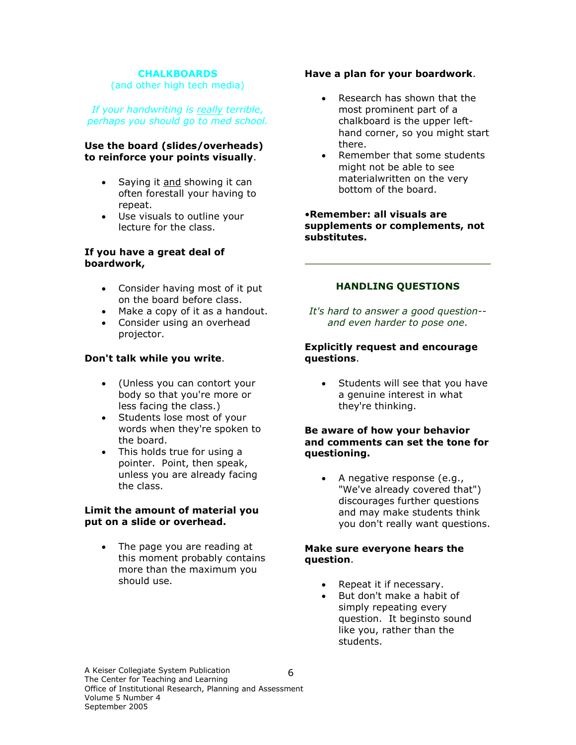#### **CHALKBOARDS**

(and other high tech media)

If your handwriting is really terrible, perhaps you should go to med school.

#### Use the board (slides/overheads) to reinforce your points visually.

- Saying it and showing it can often forestall your having to repeat.
- Use visuals to outline your lecture for the class.

#### If you have a great deal of boardwork,

- Consider having most of it put on the board before class.
- Make a copy of it as a handout.
- Consider using an overhead projector.

#### Don't talk while you write.

- (Unless you can contort your body so that you're more or less facing the class.)
- Students lose most of your words when they're spoken to the board.
- This holds true for using a pointer. Point, then speak, unless you are already facing the class.

#### Limit the amount of material you put on a slide or overhead.

• The page you are reading at this moment probably contains more than the maximum you should use.

#### Have a plan for your boardwork.

- Research has shown that the most prominent part of a chalkboard is the upper lefthand corner, so you might start there.
- Remember that some students might not be able to see materialwritten on the very bottom of the board.

#### •Remember: all visuals are supplements or complements, not substitutes.

#### HANDLING QUESTIONS

It's hard to answer a good question- and even harder to pose one.

#### Explicitly request and encourage questions.

• Students will see that you have a genuine interest in what they're thinking.

#### Be aware of how your behavior and comments can set the tone for questioning.

• A negative response (e.g., "We've already covered that") discourages further questions and may make students think you don't really want questions.

#### Make sure everyone hears the question.

- Repeat it if necessary.
- But don't make a habit of simply repeating every question. It beginsto sound like you, rather than the students.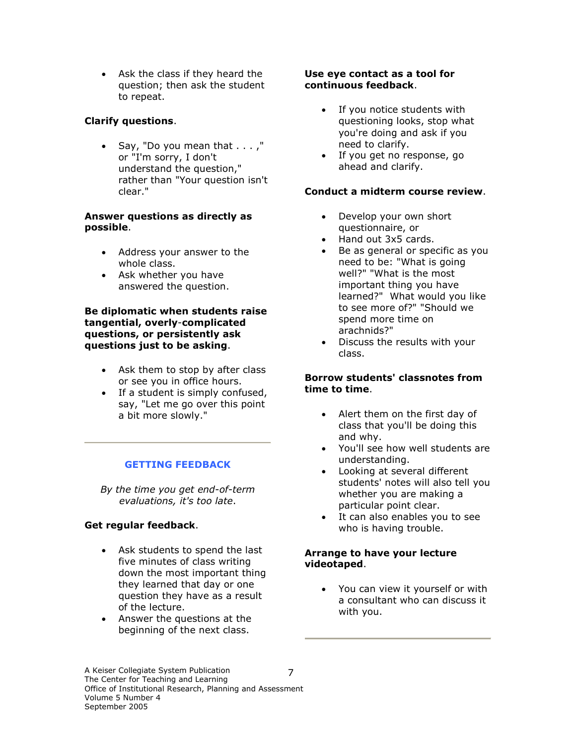• Ask the class if they heard the question; then ask the student to repeat.

#### Clarify questions.

• Say, "Do you mean that . . . ," or "I'm sorry, I don't understand the question," rather than "Your question isn't clear."

#### Answer questions as directly as possible.

- Address your answer to the whole class.
- Ask whether you have answered the question.

#### Be diplomatic when students raise tangential, overly-complicated questions, or persistently ask questions just to be asking.

- Ask them to stop by after class or see you in office hours.
- If a student is simply confused, say, "Let me go over this point a bit more slowly."

#### GETTING FEEDBACK

By the time you get end-of-term evaluations, it's too late.

#### Get regular feedback.

- Ask students to spend the last five minutes of class writing down the most important thing they learned that day or one question they have as a result of the lecture.
- Answer the questions at the beginning of the next class.

#### Use eye contact as a tool for continuous feedback.

- If you notice students with questioning looks, stop what you're doing and ask if you need to clarify.
- If you get no response, go ahead and clarify.

#### Conduct a midterm course review.

- Develop your own short questionnaire, or
- Hand out 3x5 cards.
- Be as general or specific as you need to be: "What is going well?" "What is the most important thing you have learned?" What would you like to see more of?" "Should we spend more time on arachnids?"
- Discuss the results with your class.

#### Borrow students' classnotes from time to time.

- Alert them on the first day of class that you'll be doing this and why.
- You'll see how well students are understanding.
- Looking at several different students' notes will also tell you whether you are making a particular point clear.
- It can also enables you to see who is having trouble.

#### Arrange to have your lecture videotaped.

• You can view it yourself or with a consultant who can discuss it with you.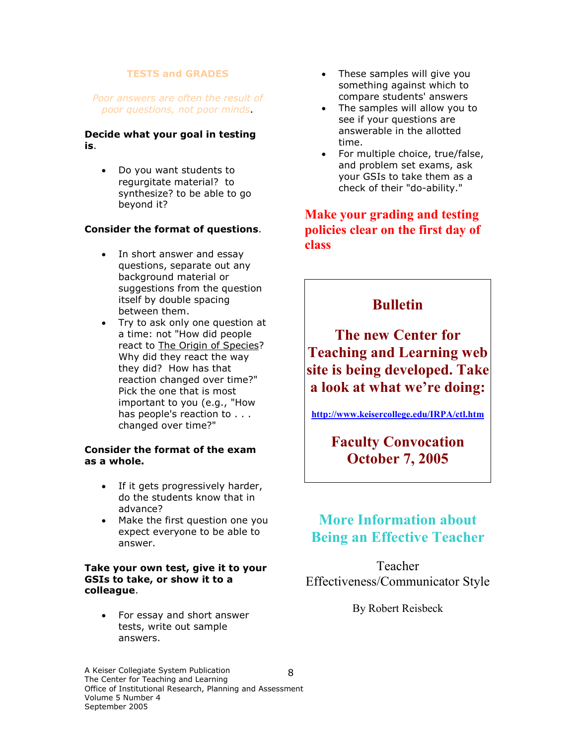#### TESTS and GRADES

#### Poor answers are often the result of poor questions, not poor minds.

#### Decide what your goal in testing is.

• Do you want students to regurgitate material? to synthesize? to be able to go beyond it?

#### Consider the format of questions.

- In short answer and essay questions, separate out any background material or suggestions from the question itself by double spacing between them.
- Try to ask only one question at a time: not "How did people react to The Origin of Species? Why did they react the way they did? How has that reaction changed over time?" Pick the one that is most important to you (e.g., "How has people's reaction to . . . changed over time?"

#### Consider the format of the exam as a whole.

- If it gets progressively harder, do the students know that in advance?
- Make the first question one you expect everyone to be able to answer.

#### Take your own test, give it to your GSIs to take, or show it to a colleague.

• For essay and short answer tests, write out sample answers.

- These samples will give you something against which to compare students' answers
- The samples will allow you to see if your questions are answerable in the allotted time.
- For multiple choice, true/false, and problem set exams, ask your GSIs to take them as a check of their "do-ability."

### Make your grading and testing policies clear on the first day of class

## **Bulletin**

The new Center for Teaching and Learning web site is being developed. Take a look at what we're doing:

http://www.keisercollege.edu/IRPA/ctl.htm

Faculty Convocation October 7, 2005

## More Information about Being an Effective Teacher

Teacher Effectiveness/Communicator Style

By Robert Reisbeck

A Keiser Collegiate System Publication The Center for Teaching and Learning Office of Institutional Research, Planning and Assessment Volume 5 Number 4 September 2005 8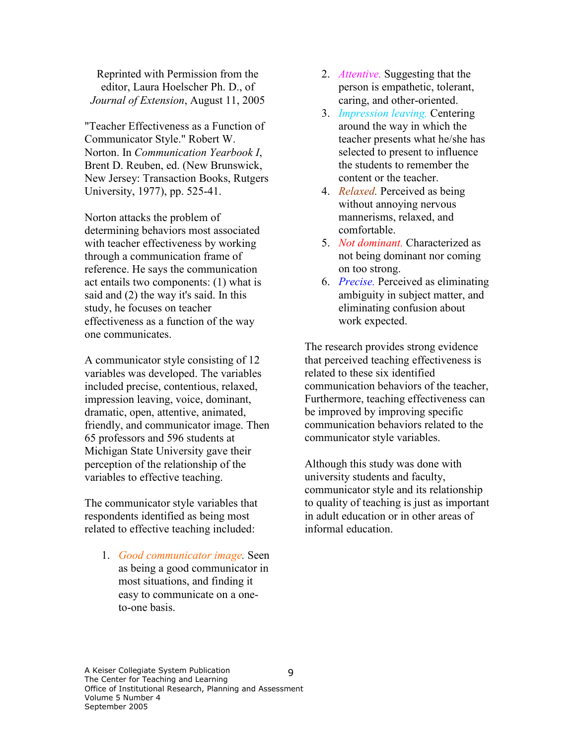Reprinted with Permission from the editor, Laura Hoelscher Ph. D., of Journal of Extension, August 11, 2005

"Teacher Effectiveness as a Function of Communicator Style." Robert W. Norton. In Communication Yearbook I, Brent D. Reuben, ed. (New Brunswick, New Jersey: Transaction Books, Rutgers University, 1977), pp. 525-41.

Norton attacks the problem of determining behaviors most associated with teacher effectiveness by working through a communication frame of reference. He says the communication act entails two components: (1) what is said and (2) the way it's said. In this study, he focuses on teacher effectiveness as a function of the way one communicates.

A communicator style consisting of 12 variables was developed. The variables included precise, contentious, relaxed, impression leaving, voice, dominant, dramatic, open, attentive, animated, friendly, and communicator image. Then 65 professors and 596 students at Michigan State University gave their perception of the relationship of the variables to effective teaching.

The communicator style variables that respondents identified as being most related to effective teaching included:

1. Good communicator image. Seen as being a good communicator in most situations, and finding it easy to communicate on a oneto-one basis.

- 2. *Attentive*. Suggesting that the person is empathetic, tolerant, caring, and other-oriented.
- 3. Impression leaving. Centering around the way in which the teacher presents what he/she has selected to present to influence the students to remember the content or the teacher.
- 4. *Relaxed*. Perceived as being without annoying nervous mannerisms, relaxed, and comfortable.
- 5. Not dominant. Characterized as not being dominant nor coming on too strong.
- 6. Precise. Perceived as eliminating ambiguity in subject matter, and eliminating confusion about work expected.

The research provides strong evidence that perceived teaching effectiveness is related to these six identified communication behaviors of the teacher, Furthermore, teaching effectiveness can be improved by improving specific communication behaviors related to the communicator style variables.

Although this study was done with university students and faculty, communicator style and its relationship to quality of teaching is just as important in adult education or in other areas of informal education.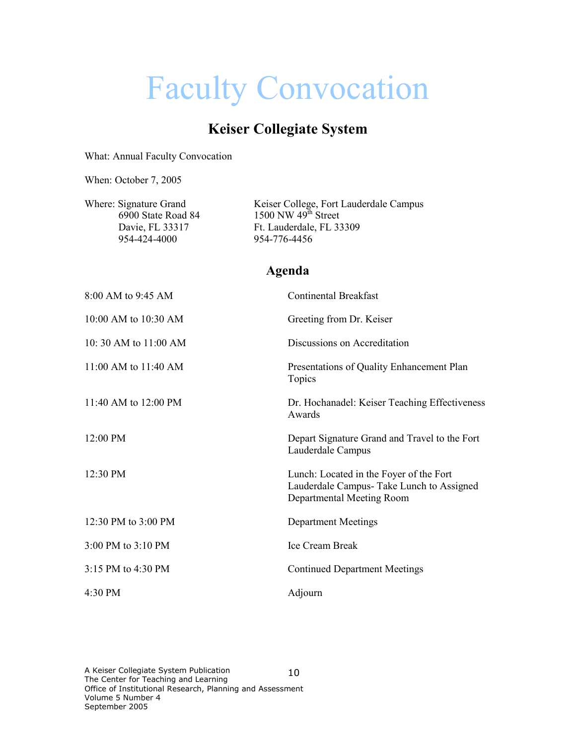# Faculty Convocation

## Keiser Collegiate System

What: Annual Faculty Convocation

When: October 7, 2005

Where: Signature Grand Keiser College, Fort Lauderdale Campus  $6900$  State Road 84 1500 NW  $49<sup>th</sup>$  Street Davie, FL 33317 Ft. Lauderdale, FL 33309 954-424-4000 954-776-4456

## Agenda

| 8:00 AM to 9:45 AM    | <b>Continental Breakfast</b>                                                                                      |
|-----------------------|-------------------------------------------------------------------------------------------------------------------|
| 10:00 AM to 10:30 AM  | Greeting from Dr. Keiser                                                                                          |
| 10: 30 AM to 11:00 AM | Discussions on Accreditation                                                                                      |
| 11:00 AM to 11:40 AM  | Presentations of Quality Enhancement Plan<br>Topics                                                               |
| 11:40 AM to 12:00 PM  | Dr. Hochanadel: Keiser Teaching Effectiveness<br>Awards                                                           |
| $12:00 \text{ PM}$    | Depart Signature Grand and Travel to the Fort<br>Lauderdale Campus                                                |
| 12:30 PM              | Lunch: Located in the Foyer of the Fort<br>Lauderdale Campus- Take Lunch to Assigned<br>Departmental Meeting Room |
| 12:30 PM to 3:00 PM   | <b>Department Meetings</b>                                                                                        |
| 3:00 PM to 3:10 PM    | <b>Ice Cream Break</b>                                                                                            |
| 3:15 PM to 4:30 PM    | <b>Continued Department Meetings</b>                                                                              |
| $4:30 \text{ PM}$     | Adjourn                                                                                                           |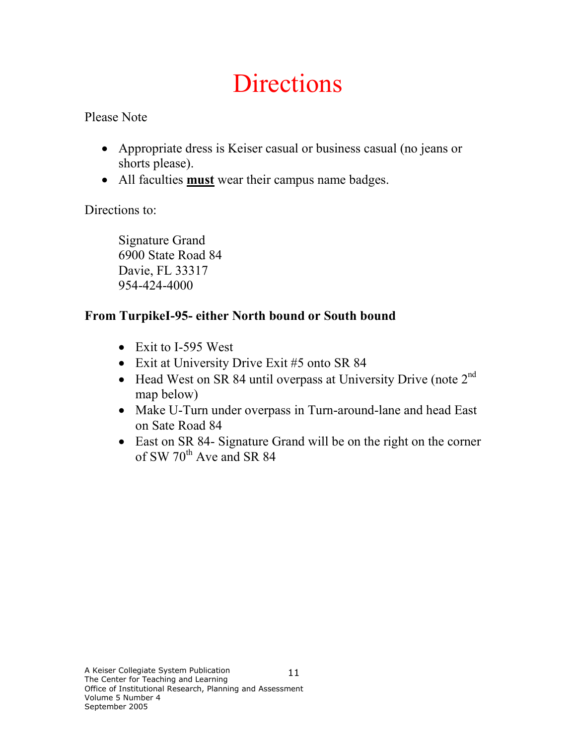# **Directions**

Please Note

- Appropriate dress is Keiser casual or business casual (no jeans or shorts please).
- All faculties **must** wear their campus name badges.

Directions to:

Signature Grand 6900 State Road 84 Davie, FL 33317 954-424-4000

## From TurpikeI-95- either North bound or South bound

- Exit to I-595 West
- Exit at University Drive Exit #5 onto SR 84
- Head West on SR 84 until overpass at University Drive (note  $2<sup>nd</sup>$ map below)
- Make U-Turn under overpass in Turn-around-lane and head East on Sate Road 84
- East on SR 84- Signature Grand will be on the right on the corner of SW  $70^{th}$  Ave and SR 84